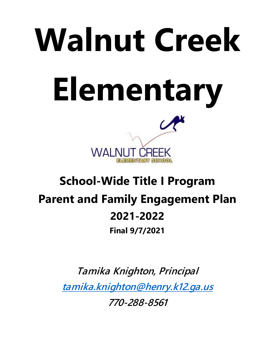# **Walnut Creek Elementary WALI**

# **School-Wide Title I Program Parent and Family Engagement Plan 2021-2022**

**Final 9/7/2021**

*Tamika Knighton, Principal [tamika.knighton@henry.k12.ga.us](mailto:tamika.knighton@henry.k12.ga.us) 770-288-8561*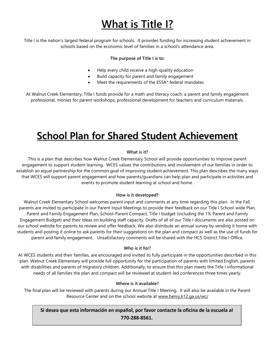# *What is Title I?*

Title I is the nation's largest federal program for schools. It provides funding for increasing student achievement in schools based on the economic level of families in a school's attendance area.

#### *The purpose of Title I is to:*

- Help every child receive a high-quality education
- Build capacity for parent and family engagement
- Meet the requirements of the ESSA\* federal mandates

At Walnut Creek Elementary, Title I funds provide for a math and literacy coach, a parent and family engagement professional, monies for parent workshops, professional development for teachers and curriculum materials.

# **School Plan for Shared Student Achievement**

#### *What is it?*

This is a plan that describes how Walnut Creek Elementary School will provide opportunities to improve parent engagement to support student learning. WCES values the contributions and involvement of our families in order to establish an equal partnership for the common goal of improving student achievement. This plan describes the many ways that WCES will support parent engagement and how parents/guardians can help plan and participate in activities and events to promote student learning at school and home.

#### *How is it developed?*

Walnut Creek Elementary School welcomes parent input and comments at any time regarding this plan. In the Fall, parents are invited to participate in our Parent Input Meetings to provide their feedback on our Title I School-wide Plan, Parent and Family Engagement Plan, School-Parent Compact, Title I budget (including the 1% Parent and Family Engagement Budget) and their ideas on building staff capacity. Drafts of all of our Title I documents are also posted on our school website for parents to review and offer feedback. We also distribute an annual survey by sending it home with students and posting it online to ask parents for their suggestions on the plan and compact as well as the use of funds for parent and family engagement. Unsatisfactory comments will be shared with the HCS District Title I Office.

#### *Who is it for?*

At WCES students and their families, are encouraged and invited to fully participate in the opportunities described in this plan. Walnut Creek Elementary will provide full opportunity for the participation of parents with limited English, parents with disabilities and parents of migratory children. Additionally, to ensure that this plan meets the Title I informational needs of all families the plan and compact will be reviewed at student-led conferences three times yearly.

#### *Where is it available?*

The final plan will be reviewed with parents during our Annual Title I Meeting. It will also be available in the Parent Resource Center and on the school website at [www.henry.k12.ga.us/wc/](http://www.henry.k12.ga.us/wc/)

**Si desea que esta información en español, por favor contacte la oficina de la escuela al 770-288-8561.**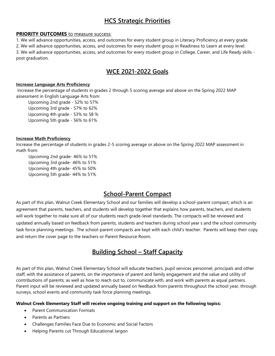# *HCS Strategic Priorities*

#### **PRIORITY OUTCOMES** to measure success:

1. We will advance opportunities, access, and outcomes for every student group in Literacy Proficiency at every grade. 2. We will advance opportunities, access, and outcomes for every student group in Readiness to Learn at every level. 3. We will advance opportunities, access, and outcomes for every student group in College, Career, and Life Ready skills post graduation.

# *WCE 2021-2022 Goals*

#### **Increase Language Arts Proficiency**

Increase the percentage of students in grades 2 through 5 scoring average and above on the Spring 2022 MAP assessment in English Language Arts from:

Upcoming 2nd grade - 52% to 57% Upcoming 3rd grade - 57% to 62% Upcoming 4th grade - 53% to 58 % Upcoming 5th grade - 56% to 61%

#### **Increase Math Proficiency**

Increase the percentage of students in grades 2-5 scoring average or above on the Spring 2022 MAP assessment in math from:

 Upcoming 2nd grade- 46% to 51% Upcoming 3rd grade- 46% to 51% Upcoming 4th grade- 45% to 50% Upcoming 5th grade- 44% to 51%

# *School-Parent Compact*

As part of this plan, Walnut Creek Elementary School and our families will develop a school-parent compact, which is an agreement that parents, teachers, and students will develop together that explains how parents, teachers, and students will work together to make sure all of our students reach grade-level standards. The compacts will be reviewed and updated annually based on feedback from parents, students and teachers during school year s and the school community task force planning meetings. The school-parent compacts are kept with each child's teacher. Parents will keep their copy and return the cover page to the teachers or Parent Resource Room.

# *Building School – Staff Capacity*

As part of this plan, Walnut Creek Elementary School will educate teachers, pupil services personnel, principals and other staff, with the assistance of parents, on the importance of parent and family engagement and the value and utility of contributions of parents; as well as how to reach out to, communicate with, and work with parents as equal partners. Parent input will be reviewed and updated annually based on feedback from parents throughout the school year, through surveys, school events and community task force planning meetings.

#### **Walnut Creek Elementary Staff will receive ongoing training and support on the following topics:**

- Parent Communication Formats
- Parents as Partners
- Challenges Families Face Due to Economic and Social Factors
- Helping Parents cut Through Educational Jargon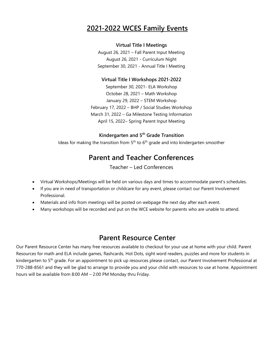# **2021-2022 WCES Family Events**

### **Virtual Title I Meetings**

August 26, 2021 – Fall Parent Input Meeting August 26, 2021 - Curriculum Night September 30, 2021 - Annual Title I Meeting

## **Virtual Title I Workshops 2021-2022**

September 30, 2021- ELA Workshop October 28, 2021 – Math Workshop January 29, 2022 – STEM Workshop February 17, 2022 – BHP / Social Studies Workshop March 31, 2022 – Ga Milestone Testing Information April 15, 2022– Spring Parent Input Meeting

## **Kindergarten and 5th Grade Transition**

Ideas for making the transition from  $5<sup>th</sup>$  to  $6<sup>th</sup>$  grade and into kindergarten smoother

# **Parent and Teacher Conferences**

Teacher – Led Conferences

- Virtual Workshops/Meetings will be held on various days and times to accommodate parent's schedules.
- If you are in need of transportation or childcare for any event, please contact our Parent Involvement Professional.
- Materials and info from meetings will be posted on webpage the next day after each event.
- Many workshops will be recorded and put on the WCE website for parents who are unable to attend.

# **Parent Resource Center**

Our Parent Resource Center has many free resources available to checkout for your use at home with your child. Parent Resources for math and ELA include games, flashcards, Hot Dots, sight word readers, puzzles and more for students in kindergarten to 5<sup>th</sup> grade. For an appointment to pick up resources please contact, our Parent Involvement Professional [at](mailto:darlene.minshew@henry.k12.ga.us) 770-288-8561 and they will be glad to arrange to provide you and your child with resources to use at home. Appointment hours will be available from 8:00 AM – 2:00 PM Monday thru Friday.